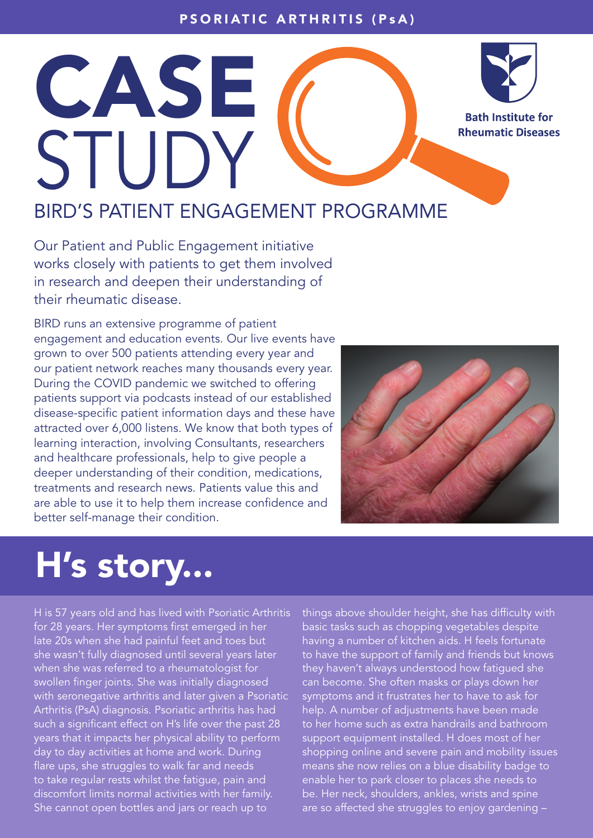## PSORIATIC ARTHRITIS (PsA)



**Bath Institute for Rheumatic Diseases** 

## BIRD'S PATIENT ENGAGEMENT PROGRAMME

Our Patient and Public Engagement initiative works closely with patients to get them involved in research and deepen their understanding of their rheumatic disease.

CASE

STUDY

BIRD runs an extensive programme of patient engagement and education events. Our live events have grown to over 500 patients attending every year and our patient network reaches many thousands every year. During the COVID pandemic we switched to offering patients support via podcasts instead of our established disease-specific patient information days and these have attracted over 6,000 listens. We know that both types of learning interaction, involving Consultants, researchers and healthcare professionals, help to give people a deeper understanding of their condition, medications, treatments and research news. Patients value this and are able to use it to help them increase confidence and better self-manage their condition.



## H's story...

H is 57 years old and has lived with Psoriatic Arthritis for 28 years. Her symptoms first emerged in her late 20s when she had painful feet and toes but she wasn't fully diagnosed until several years later when she was referred to a rheumatologist for swollen finger joints. She was initially diagnosed with seronegative arthritis and later given a Psoriatic Arthritis (PsA) diagnosis. Psoriatic arthritis has had such a significant effect on H's life over the past 28 years that it impacts her physical ability to perform day to day activities at home and work. During flare ups, she struggles to walk far and needs to take regular rests whilst the fatigue, pain and discomfort limits normal activities with her family. She cannot open bottles and jars or reach up to

things above shoulder height, she has difficulty with basic tasks such as chopping vegetables despite having a number of kitchen aids. H feels fortunate to have the support of family and friends but knows they haven't always understood how fatigued she can become. She often masks or plays down her symptoms and it frustrates her to have to ask for help. A number of adjustments have been made to her home such as extra handrails and bathroom support equipment installed. H does most of her shopping online and severe pain and mobility issues means she now relies on a blue disability badge to enable her to park closer to places she needs to be. Her neck, shoulders, ankles, wrists and spine are so affected she struggles to enjoy gardening –